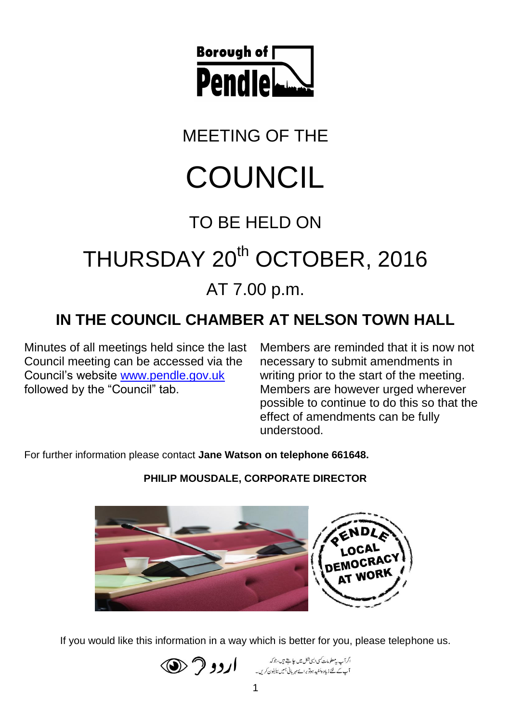

MEETING OF THE

# **COUNCIL**

## TO BE HELD ON

## THURSDAY 20<sup>th</sup> OCTOBER, 2016

## AT 7.00 p.m.

## **IN THE COUNCIL CHAMBER AT NELSON TOWN HALL**

Minutes of all meetings held since the last Council meeting can be accessed via the Council's website [www.pendle.gov.uk](http://www.pendle.gov.uk/) followed by the "Council" tab.

Members are reminded that it is now not necessary to submit amendments in writing prior to the start of the meeting. Members are however urged wherever possible to continue to do this so that the effect of amendments can be fully understood.

For further information please contact **Jane Watson on telephone 661648.**

**PHILIP MOUSDALE, CORPORATE DIRECTOR**



If you would like this information in a way which is better for you, please telephone us.



اگرآپ پیمعلومات کسی ایسی شکل میں علی ہے ہیں، جوکہ ۔<br>آپ کے لئے زیادہ مُفید ہوتو برائے مہربانی ہمیں لیکیفون کریں۔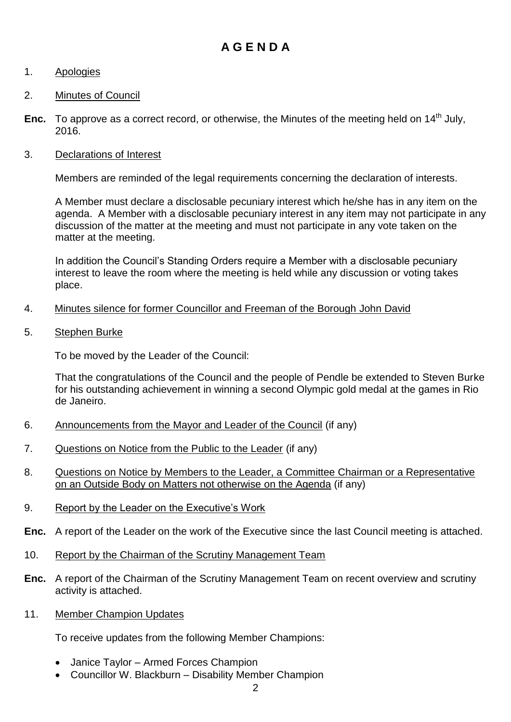#### **A G E N D A**

#### 1. Apologies

#### 2. Minutes of Council

**Enc.** To approve as a correct record, or otherwise, the Minutes of the meeting held on 14<sup>th</sup> July, 2016.

#### 3. Declarations of Interest

Members are reminded of the legal requirements concerning the declaration of interests.

A Member must declare a disclosable pecuniary interest which he/she has in any item on the agenda. A Member with a disclosable pecuniary interest in any item may not participate in any discussion of the matter at the meeting and must not participate in any vote taken on the matter at the meeting.

In addition the Council's Standing Orders require a Member with a disclosable pecuniary interest to leave the room where the meeting is held while any discussion or voting takes place.

#### 4. Minutes silence for former Councillor and Freeman of the Borough John David

5. Stephen Burke

To be moved by the Leader of the Council:

That the congratulations of the Council and the people of Pendle be extended to Steven Burke for his outstanding achievement in winning a second Olympic gold medal at the games in Rio de Janeiro.

- 6. Announcements from the Mayor and Leader of the Council (if any)
- 7. Questions on Notice from the Public to the Leader (if any)
- 8. Questions on Notice by Members to the Leader, a Committee Chairman or a Representative on an Outside Body on Matters not otherwise on the Agenda (if any)
- 9. Report by the Leader on the Executive's Work
- **Enc.** A report of the Leader on the work of the Executive since the last Council meeting is attached.
- 10. Report by the Chairman of the Scrutiny Management Team
- **Enc.** A report of the Chairman of the Scrutiny Management Team on recent overview and scrutiny activity is attached.
- 11. Member Champion Updates

To receive updates from the following Member Champions:

- Janice Taylor Armed Forces Champion
- Councillor W. Blackburn Disability Member Champion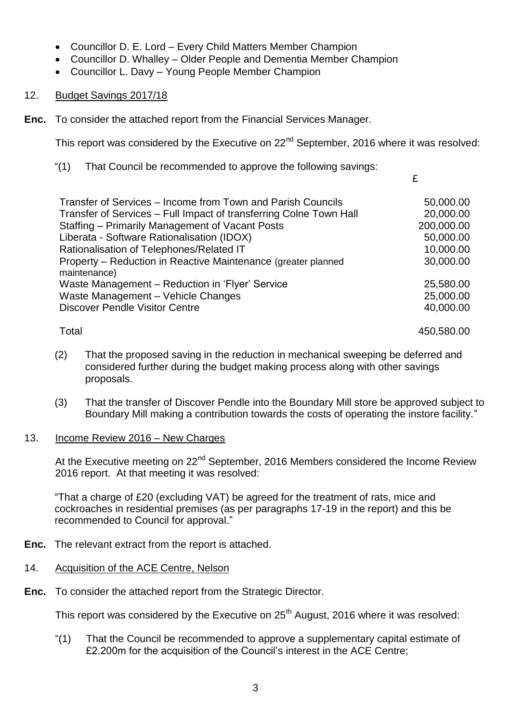- Councillor D. E. Lord Every Child Matters Member Champion
- Councillor D. Whalley Older People and Dementia Member Champion
- Councillor L. Davy Young People Member Champion

#### 12. Budget Savings 2017/18

**Enc.** To consider the attached report from the Financial Services Manager.

This report was considered by the Executive on 22<sup>nd</sup> September, 2016 where it was resolved:

"(1) That Council be recommended to approve the following savings:

£

| Transfer of Services – Income from Town and Parish Councils                   | 50,000.00  |
|-------------------------------------------------------------------------------|------------|
| Transfer of Services - Full Impact of transferring Colne Town Hall            | 20,000.00  |
| Staffing - Primarily Management of Vacant Posts                               | 200,000.00 |
| Liberata - Software Rationalisation (IDOX)                                    | 50,000.00  |
| Rationalisation of Telephones/Related IT                                      | 10,000.00  |
| Property – Reduction in Reactive Maintenance (greater planned<br>maintenance) | 30,000.00  |
| Waste Management - Reduction in 'Flyer' Service                               | 25,580.00  |
| Waste Management - Vehicle Changes                                            | 25,000.00  |
| <b>Discover Pendle Visitor Centre</b>                                         | 40,000.00  |
| Total                                                                         | 450,580.00 |

- (2) That the proposed saving in the reduction in mechanical sweeping be deferred and considered further during the budget making process along with other savings proposals.
- (3) That the transfer of Discover Pendle into the Boundary Mill store be approved subject to Boundary Mill making a contribution towards the costs of operating the instore facility."

#### 13. Income Review 2016 – New Charges

At the Executive meeting on 22<sup>nd</sup> September, 2016 Members considered the Income Review 2016 report. At that meeting it was resolved:

"That a charge of £20 (excluding VAT) be agreed for the treatment of rats, mice and cockroaches in residential premises (as per paragraphs 17-19 in the report) and this be recommended to Council for approval."

- **Enc.** The relevant extract from the report is attached.
- 14. Acquisition of the ACE Centre, Nelson
- **Enc.** To consider the attached report from the Strategic Director.

This report was considered by the Executive on  $25<sup>th</sup>$  August, 2016 where it was resolved:

"(1) That the Council be recommended to approve a supplementary capital estimate of £2.200m for the acquisition of the Council's interest in the ACE Centre;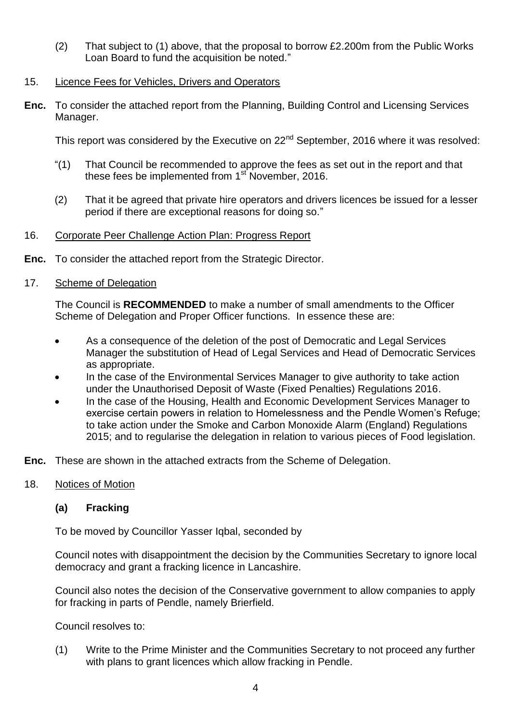(2) That subject to (1) above, that the proposal to borrow £2.200m from the Public Works Loan Board to fund the acquisition be noted."

#### 15. Licence Fees for Vehicles, Drivers and Operators

**Enc.** To consider the attached report from the Planning, Building Control and Licensing Services Manager.

This report was considered by the Executive on 22<sup>nd</sup> September, 2016 where it was resolved:

- "(1) That Council be recommended to approve the fees as set out in the report and that these fees be implemented from 1<sup>st</sup> November, 2016.
- (2) That it be agreed that private hire operators and drivers licences be issued for a lesser period if there are exceptional reasons for doing so."

#### 16. Corporate Peer Challenge Action Plan: Progress Report

**Enc.** To consider the attached report from the Strategic Director.

#### 17. Scheme of Delegation

The Council is **RECOMMENDED** to make a number of small amendments to the Officer Scheme of Delegation and Proper Officer functions. In essence these are:

- As a consequence of the deletion of the post of Democratic and Legal Services Manager the substitution of Head of Legal Services and Head of Democratic Services as appropriate.
- In the case of the Environmental Services Manager to give authority to take action under the Unauthorised Deposit of Waste (Fixed Penalties) Regulations 2016.
- In the case of the Housing, Health and Economic Development Services Manager to exercise certain powers in relation to Homelessness and the Pendle Women's Refuge; to take action under the Smoke and Carbon Monoxide Alarm (England) Regulations 2015; and to regularise the delegation in relation to various pieces of Food legislation.
- **Enc.** These are shown in the attached extracts from the Scheme of Delegation.

#### 18. Notices of Motion

#### **(a) Fracking**

To be moved by Councillor Yasser Igbal, seconded by

Council notes with disappointment the decision by the Communities Secretary to ignore local democracy and grant a fracking licence in Lancashire.

Council also notes the decision of the Conservative government to allow companies to apply for fracking in parts of Pendle, namely Brierfield.

Council resolves to:

(1) Write to the Prime Minister and the Communities Secretary to not proceed any further with plans to grant licences which allow fracking in Pendle.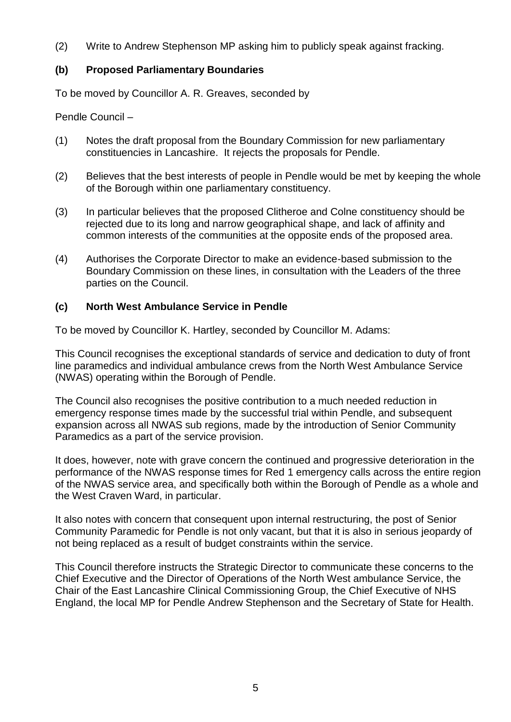(2) Write to Andrew Stephenson MP asking him to publicly speak against fracking.

#### **(b) Proposed Parliamentary Boundaries**

To be moved by Councillor A. R. Greaves, seconded by

Pendle Council –

- (1) Notes the draft proposal from the Boundary Commission for new parliamentary constituencies in Lancashire. It rejects the proposals for Pendle.
- (2) Believes that the best interests of people in Pendle would be met by keeping the whole of the Borough within one parliamentary constituency.
- (3) In particular believes that the proposed Clitheroe and Colne constituency should be rejected due to its long and narrow geographical shape, and lack of affinity and common interests of the communities at the opposite ends of the proposed area.
- (4) Authorises the Corporate Director to make an evidence-based submission to the Boundary Commission on these lines, in consultation with the Leaders of the three parties on the Council.

#### **(c) North West Ambulance Service in Pendle**

To be moved by Councillor K. Hartley, seconded by Councillor M. Adams:

This Council recognises the exceptional standards of service and dedication to duty of front line paramedics and individual ambulance crews from the North West Ambulance Service (NWAS) operating within the Borough of Pendle.

The Council also recognises the positive contribution to a much needed reduction in emergency response times made by the successful trial within Pendle, and subsequent expansion across all NWAS sub regions, made by the introduction of Senior Community Paramedics as a part of the service provision.

It does, however, note with grave concern the continued and progressive deterioration in the performance of the NWAS response times for Red 1 emergency calls across the entire region of the NWAS service area, and specifically both within the Borough of Pendle as a whole and the West Craven Ward, in particular.

It also notes with concern that consequent upon internal restructuring, the post of Senior Community Paramedic for Pendle is not only vacant, but that it is also in serious jeopardy of not being replaced as a result of budget constraints within the service.

This Council therefore instructs the Strategic Director to communicate these concerns to the Chief Executive and the Director of Operations of the North West ambulance Service, the Chair of the East Lancashire Clinical Commissioning Group, the Chief Executive of NHS England, the local MP for Pendle Andrew Stephenson and the Secretary of State for Health.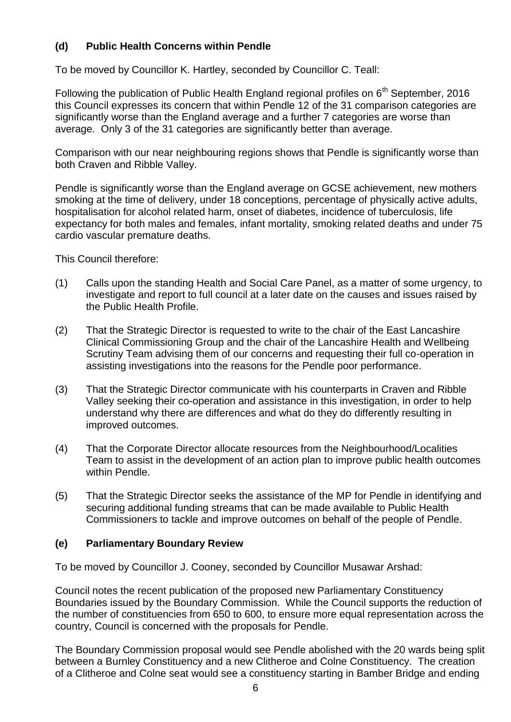#### **(d) Public Health Concerns within Pendle**

To be moved by Councillor K. Hartley, seconded by Councillor C. Teall:

Following the publication of Public Health England regional profiles on  $6<sup>th</sup>$  September, 2016 this Council expresses its concern that within Pendle 12 of the 31 comparison categories are significantly worse than the England average and a further 7 categories are worse than average. Only 3 of the 31 categories are significantly better than average.

Comparison with our near neighbouring regions shows that Pendle is significantly worse than both Craven and Ribble Valley.

Pendle is significantly worse than the England average on GCSE achievement, new mothers smoking at the time of delivery, under 18 conceptions, percentage of physically active adults, hospitalisation for alcohol related harm, onset of diabetes, incidence of tuberculosis, life expectancy for both males and females, infant mortality, smoking related deaths and under 75 cardio vascular premature deaths.

This Council therefore:

- (1) Calls upon the standing Health and Social Care Panel, as a matter of some urgency, to investigate and report to full council at a later date on the causes and issues raised by the Public Health Profile.
- (2) That the Strategic Director is requested to write to the chair of the East Lancashire Clinical Commissioning Group and the chair of the Lancashire Health and Wellbeing Scrutiny Team advising them of our concerns and requesting their full co-operation in assisting investigations into the reasons for the Pendle poor performance.
- (3) That the Strategic Director communicate with his counterparts in Craven and Ribble Valley seeking their co-operation and assistance in this investigation, in order to help understand why there are differences and what do they do differently resulting in improved outcomes.
- (4) That the Corporate Director allocate resources from the Neighbourhood/Localities Team to assist in the development of an action plan to improve public health outcomes within Pendle.
- (5) That the Strategic Director seeks the assistance of the MP for Pendle in identifying and securing additional funding streams that can be made available to Public Health Commissioners to tackle and improve outcomes on behalf of the people of Pendle.

#### **(e) Parliamentary Boundary Review**

To be moved by Councillor J. Cooney, seconded by Councillor Musawar Arshad:

Council notes the recent publication of the proposed new Parliamentary Constituency Boundaries issued by the Boundary Commission. While the Council supports the reduction of the number of constituencies from 650 to 600, to ensure more equal representation across the country, Council is concerned with the proposals for Pendle.

The Boundary Commission proposal would see Pendle abolished with the 20 wards being split between a Burnley Constituency and a new Clitheroe and Colne Constituency. The creation of a Clitheroe and Colne seat would see a constituency starting in Bamber Bridge and ending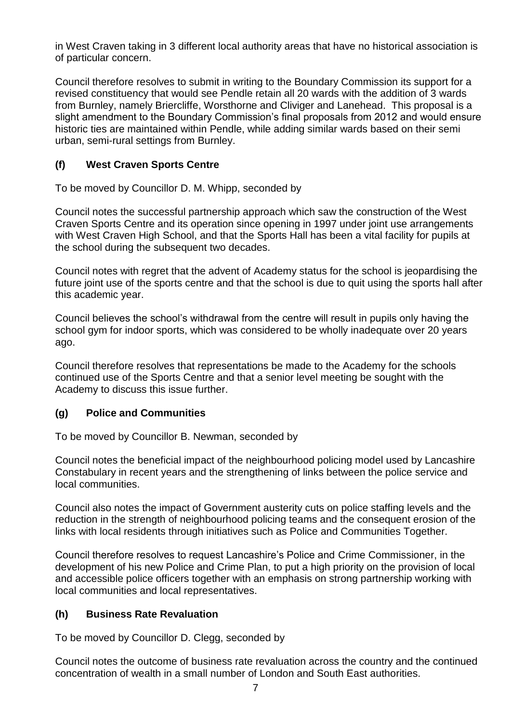in West Craven taking in 3 different local authority areas that have no historical association is of particular concern.

Council therefore resolves to submit in writing to the Boundary Commission its support for a revised constituency that would see Pendle retain all 20 wards with the addition of 3 wards from Burnley, namely Briercliffe, Worsthorne and Cliviger and Lanehead. This proposal is a slight amendment to the Boundary Commission's final proposals from 2012 and would ensure historic ties are maintained within Pendle, while adding similar wards based on their semi urban, semi-rural settings from Burnley.

#### **(f) West Craven Sports Centre**

To be moved by Councillor D. M. Whipp, seconded by

Council notes the successful partnership approach which saw the construction of the West Craven Sports Centre and its operation since opening in 1997 under joint use arrangements with West Craven High School, and that the Sports Hall has been a vital facility for pupils at the school during the subsequent two decades.

Council notes with regret that the advent of Academy status for the school is jeopardising the future joint use of the sports centre and that the school is due to quit using the sports hall after this academic year.

Council believes the school's withdrawal from the centre will result in pupils only having the school gym for indoor sports, which was considered to be wholly inadequate over 20 years ago.

Council therefore resolves that representations be made to the Academy for the schools continued use of the Sports Centre and that a senior level meeting be sought with the Academy to discuss this issue further.

#### **(g) Police and Communities**

To be moved by Councillor B. Newman, seconded by

Council notes the beneficial impact of the neighbourhood policing model used by Lancashire Constabulary in recent years and the strengthening of links between the police service and local communities.

Council also notes the impact of Government austerity cuts on police staffing levels and the reduction in the strength of neighbourhood policing teams and the consequent erosion of the links with local residents through initiatives such as Police and Communities Together.

Council therefore resolves to request Lancashire's Police and Crime Commissioner, in the development of his new Police and Crime Plan, to put a high priority on the provision of local and accessible police officers together with an emphasis on strong partnership working with local communities and local representatives.

#### **(h) Business Rate Revaluation**

To be moved by Councillor D. Clegg, seconded by

Council notes the outcome of business rate revaluation across the country and the continued concentration of wealth in a small number of London and South East authorities.